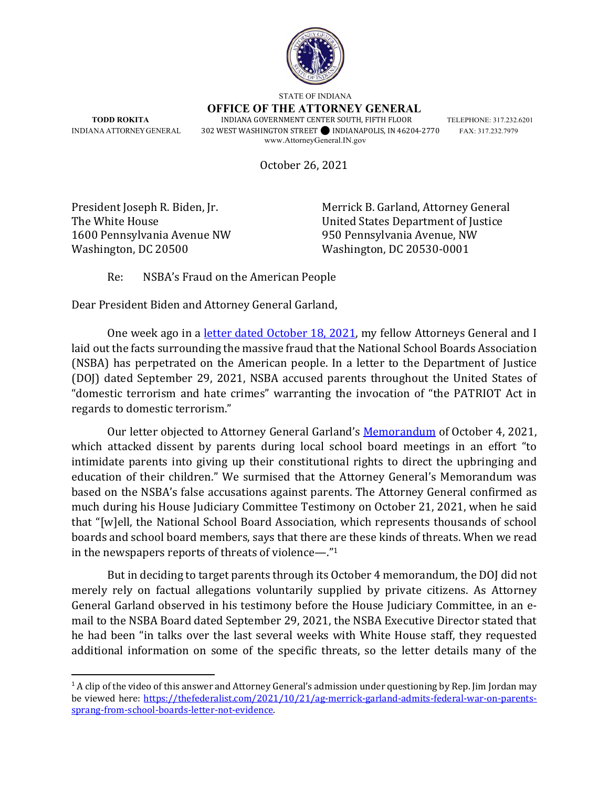

STATE OF INDIANA

**OFFICE OF THE ATTORNEY GENERAL TODD ROKITA INDIANA GOVERNMENT CENTER SOUTH, FIFTH FLOOR TELEPHONE: 317.232.6201** 

INDIANA ATTORNEY GENERAL 302 WEST WASHINGTON STREET⚫ INDIANAPOLIS, IN 46204-2770 FAX: 317.232.7979 www.AttorneyGeneral.IN.gov

October 26, 2021

1600 Pennsylvania Avenue NW 950 Pennsylvania Avenue, NW Washington, DC 20500 Washington, DC 20530-0001

President Joseph R. Biden, Jr. Merrick B. Garland, Attorney General The White House United States Department of Justice

Re: NSBA's Fraud on the American People

Dear President Biden and Attorney General Garland,

One week ago in a letter dated October 18, 2021, my fellow Attorneys General and I laid out the facts surrounding the massive fraud that the National School Boards Association (NSBA) has perpetrated on the American people. In a letter to the Department of Justice (DOJ) dated September 29, 2021, NSBA accused parents throughout the United States of "domestic terrorism and hate crimes" warranting the invocation of "the PATRIOT Act in regards to domestic terrorism."

Our letter objected to Attorney General Garland's Memorandum of October 4, 2021, which attacked dissent by parents during local school board meetings in an effort "to intimidate parents into giving up their constitutional rights to direct the upbringing and education of their children." We surmised that the Attorney General's Memorandum was based on the NSBA's false accusations against parents. The Attorney General confirmed as much during his House Judiciary Committee Testimony on October 21, 2021, when he said that "[w]ell, the National School Board Association, which represents thousands of school boards and school board members, says that there are these kinds of threats. When we read in the newspapers reports of threats of violence—."1

But in deciding to target parents through its October 4 memorandum, the DOJ did not merely rely on factual allegations voluntarily supplied by private citizens. As Attorney General Garland observed in his testimony before the House Judiciary Committee, in an email to the NSBA Board dated September 29, 2021, the NSBA Executive Director stated that he had been "in talks over the last several weeks with White House staff, they requested additional information on some of the specific threats, so the letter details many of the

<sup>&</sup>lt;sup>1</sup> A clip of the video of this answer and Attorney General's admission under questioning by Rep. Jim Jordan may be viewed here: https://thefederalist.com/2021/10/21/ag-merrick-garland-admits-federal-war-on-parentssprang-from-school-boards-letter-not-evidence.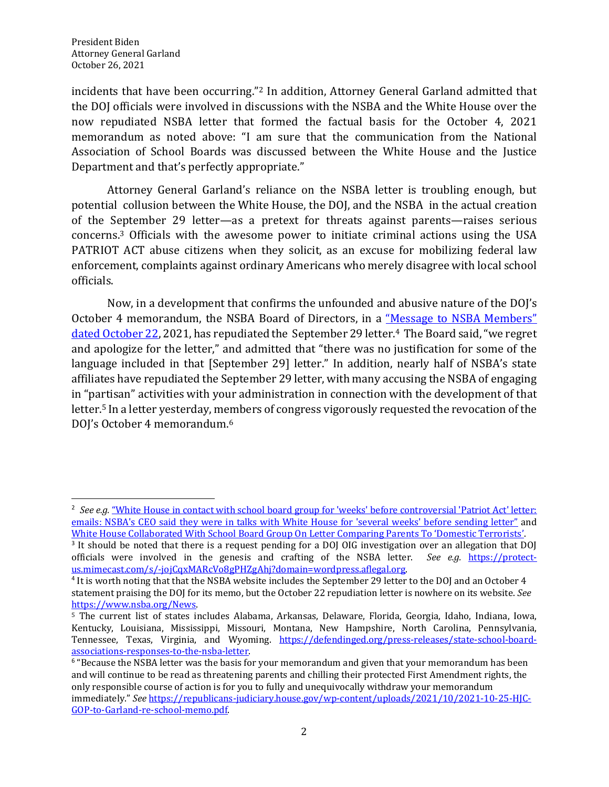incidents that have been occurring."2 In addition, Attorney General Garland admitted that the DOJ officials were involved in discussions with the NSBA and the White House over the now repudiated NSBA letter that formed the factual basis for the October 4, 2021 memorandum as noted above: "I am sure that the communication from the National Association of School Boards was discussed between the White House and the Justice Department and that's perfectly appropriate."

Attorney General Garland's reliance on the NSBA letter is troubling enough, but potential collusion between the White House, the DOJ, and the NSBA in the actual creation of the September 29 letter—as a pretext for threats against parents—raises serious concerns.3 Officials with the awesome power to initiate criminal actions using the USA PATRIOT ACT abuse citizens when they solicit, as an excuse for mobilizing federal law enforcement, complaints against ordinary Americans who merely disagree with local school officials.

Now, in a development that confirms the unfounded and abusive nature of the DOJ's October 4 memorandum, the NSBA Board of Directors, in a "Message to NSBA Members" dated October 22, 2021, has repudiated the September 29 letter.<sup>4</sup> The Board said, "we regret and apologize for the letter," and admitted that "there was no justification for some of the language included in that [September 29] letter." In addition, nearly half of NSBA's state affiliates have repudiated the September 29 letter, with many accusing the NSBA of engaging in "partisan" activities with your administration in connection with the development of that letter.5 In a letter yesterday, members of congress vigorously requested the revocation of the DOJ's October 4 memorandum.<sup>6</sup>

<sup>&</sup>lt;sup>2</sup> See e.g. "White House in contact with school board group for 'weeks' before controversial 'Patriot Act' letter: emails: NSBA's CEO said they were in talks with White House for 'several weeks' before sending letter" and White House Collaborated With School Board Group On Letter Comparing Parents To 'Domestic Terrorists'.

<sup>3</sup> It should be noted that there is a request pending for a DOJ OIG investigation over an allegation that DOJ officials were involved in the genesis and crafting of the NSBA letter. *See e.g.* https://protectus.mimecast.com/s/-jojCqxMARcVo8gPHZgAhj?domain=wordpress.aflegal.org.

<sup>4</sup> It is worth noting that that the NSBA website includes the September 29 letter to the DOJ and an October 4 statement praising the DOJ for its memo, but the October 22 repudiation letter is nowhere on its website. *See* https://www.nsba.org/News.<br><sup>5</sup> The current list of states includes Alabama, Arkansas, Delaware, Florida, Georgia, Idaho, Indiana, Iowa,

Kentucky, Louisiana, Mississippi, Missouri, Montana, New Hampshire, North Carolina, Pennsylvania, Tennessee, Texas, Virginia, and Wyoming. https://defendinged.org/press-releases/state-school-boardassociations-responses-to-the-nsba-letter.

<sup>6</sup> "Because the NSBA letter was the basis for your memorandum and given that your memorandum has been and will continue to be read as threatening parents and chilling their protected First Amendment rights, the only responsible course of action is for you to fully and unequivocally withdraw your memorandum immediately." *See* https://republicans-judiciary.house.gov/wp-content/uploads/2021/10/2021-10-25-HJC-GOP-to-Garland-re-school-memo.pdf.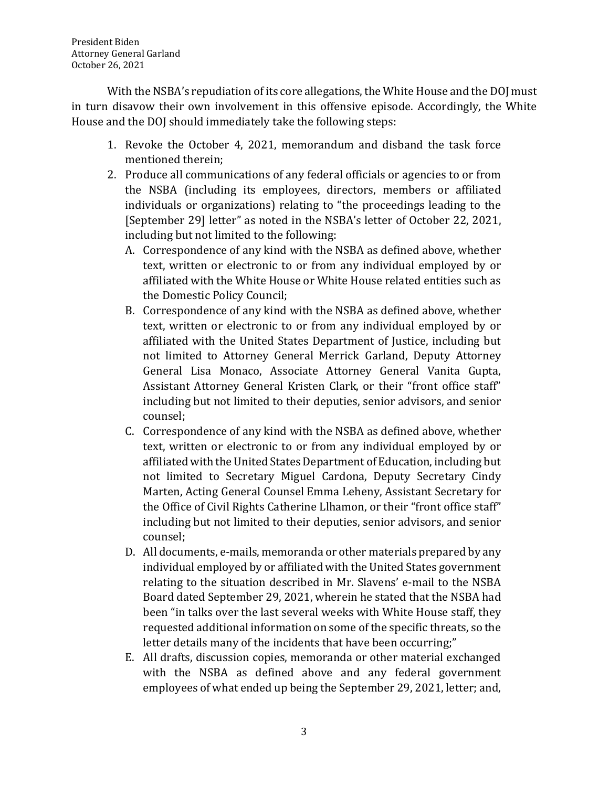With the NSBA's repudiation of its core allegations, the White House and the DOJ must in turn disavow their own involvement in this offensive episode. Accordingly, the White House and the DOJ should immediately take the following steps:

- 1. Revoke the October 4, 2021, memorandum and disband the task force mentioned therein;
- 2. Produce all communications of any federal officials or agencies to or from the NSBA (including its employees, directors, members or affiliated individuals or organizations) relating to "the proceedings leading to the [September 29] letter" as noted in the NSBA's letter of October 22, 2021, including but not limited to the following:
	- A. Correspondence of any kind with the NSBA as defined above, whether text, written or electronic to or from any individual employed by or affiliated with the White House or White House related entities such as the Domestic Policy Council;
	- B. Correspondence of any kind with the NSBA as defined above, whether text, written or electronic to or from any individual employed by or affiliated with the United States Department of Justice, including but not limited to Attorney General Merrick Garland, Deputy Attorney General Lisa Monaco, Associate Attorney General Vanita Gupta, Assistant Attorney General Kristen Clark, or their "front office staff" including but not limited to their deputies, senior advisors, and senior counsel;
	- C. Correspondence of any kind with the NSBA as defined above, whether text, written or electronic to or from any individual employed by or affiliated with the United States Department of Education, including but not limited to Secretary Miguel Cardona, Deputy Secretary Cindy Marten, Acting General Counsel Emma Leheny, Assistant Secretary for the Office of Civil Rights Catherine Llhamon, or their "front office staff" including but not limited to their deputies, senior advisors, and senior counsel;
	- D. All documents, e-mails, memoranda or other materials prepared by any individual employed by or affiliated with the United States government relating to the situation described in Mr. Slavens' e-mail to the NSBA Board dated September 29, 2021, wherein he stated that the NSBA had been "in talks over the last several weeks with White House staff, they requested additional information on some of the specific threats, so the letter details many of the incidents that have been occurring;"
	- E. All drafts, discussion copies, memoranda or other material exchanged with the NSBA as defined above and any federal government employees of what ended up being the September 29, 2021, letter; and,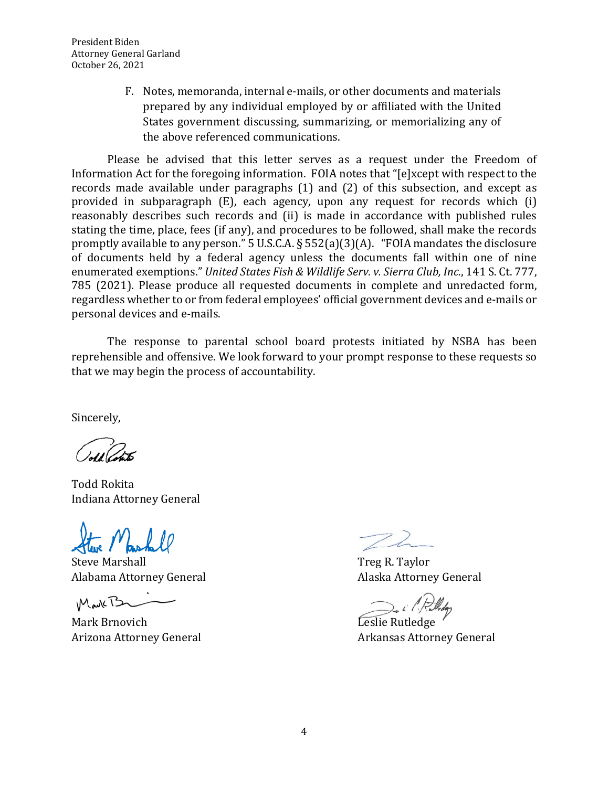President Biden Attorney General Garland October 26, 2021

> F. Notes, memoranda, internal e-mails, or other documents and materials prepared by any individual employed by or affiliated with the United States government discussing, summarizing, or memorializing any of the above referenced communications.

Please be advised that this letter serves as a request under the Freedom of Information Act for the foregoing information. FOIA notes that "[e]xcept with respect to the records made available under paragraphs (1) and (2) of this subsection, and except as provided in subparagraph (E), each agency, upon any request for records which (i) reasonably describes such records and (ii) is made in accordance with published rules stating the time, place, fees (if any), and procedures to be followed, shall make the records promptly available to any person." 5 U.S.C.A. § 552(a)(3)(A). "FOIA mandates the disclosure of documents held by a federal agency unless the documents fall within one of nine enumerated exemptions." *United States Fish & Wildlife Serv. v. Sierra Club, Inc.*, 141 S. Ct. 777, 785 (2021). Please produce all requested documents in complete and unredacted form, regardless whether to or from federal employees' official government devices and e-mails or personal devices and e-mails.

The response to parental school board protests initiated by NSBA has been reprehensible and offensive. We look forward to your prompt response to these requests so that we may begin the process of accountability.

Sincerely,

Todd Rokita Indiana Attorney General

Steve Marshall **Steve Marshall** Steve Marshall **Treg R. Taylor** Alabama Attorney General **Alaska Attorney General** Alaska Attorney General

Mark B

Mark Brnovich **Leslie Rutledge** 

Arizona Attorney General **Arizona Attorney General** Arkansas Attorney General